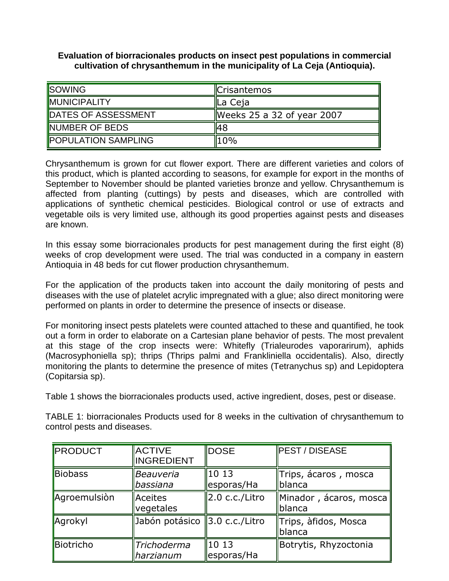**Evaluation of biorracionales products on insect pest populations in commercial cultivation of chrysanthemum in the municipality of La Ceja (Antioquia).**

| <b>ISOWING</b>             | <b>Crisantemos</b>         |
|----------------------------|----------------------------|
| <b>MUNICIPALITY</b>        | ∥La Ceja                   |
| DATES OF ASSESSMENT        | Weeks 25 a 32 of year 2007 |
| NUMBER OF BEDS             | ll48                       |
| <b>POPULATION SAMPLING</b> | 10%                        |

Chrysanthemum is grown for cut flower export. There are different varieties and colors of this product, which is planted according to seasons, for example for export in the months of September to November should be planted varieties bronze and yellow. Chrysanthemum is affected from planting (cuttings) by pests and diseases, which are controlled with applications of synthetic chemical pesticides. Biological control or use of extracts and vegetable oils is very limited use, although its good properties against pests and diseases are known.

In this essay some biorracionales products for pest management during the first eight (8) weeks of crop development were used. The trial was conducted in a company in eastern Antioquia in 48 beds for cut flower production chrysanthemum.

For the application of the products taken into account the daily monitoring of pests and diseases with the use of platelet acrylic impregnated with a glue; also direct monitoring were performed on plants in order to determine the presence of insects or disease.

For monitoring insect pests platelets were counted attached to these and quantified, he took out a form in order to elaborate on a Cartesian plane behavior of pests. The most prevalent at this stage of the crop insects were: Whitefly (Trialeurodes vaporarirum), aphids (Macrosyphoniella sp); thrips (Thrips palmi and Frankliniella occidentalis). Also, directly monitoring the plants to determine the presence of mites (Tetranychus sp) and Lepidoptera (Copitarsia sp).

Table 1 shows the biorracionales products used, active ingredient, doses, pest or disease.

TABLE 1: biorracionales Products used for 8 weeks in the cultivation of chrysanthemum to control pests and diseases.

| <b>PRODUCT</b> | <b>ACTIVE</b><br>INGREDIENT   | <b>DOSE</b>         | <b>PEST / DISEASE</b>            |
|----------------|-------------------------------|---------------------|----------------------------------|
| Biobass        | <i>Beauveria</i><br>bassiana  | 10 13<br>esporas/Ha | Trips, ácaros, mosca<br>blanca   |
| Agroemulsiòn   | Aceites<br>vegetales          | 2.0 c.c./Litro      | Minador, ácaros, mosca<br>blanca |
| Agrokyl        | Jabón potásico 3.0 c.c./Litro |                     | Trips, àfidos, Mosca<br>blanca   |
| Biotricho      | Trichoderma<br>harzianum      | 10 13<br>esporas/Ha | Botrytis, Rhyzoctonia            |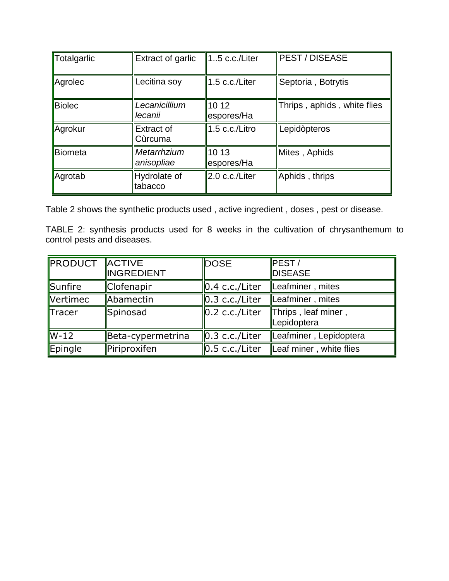| Totalgarlic | Extract of garlic         | 1.5 c.c./Liter      | <b>PEST / DISEASE</b>       |
|-------------|---------------------------|---------------------|-----------------------------|
| Agrolec     | Lecitina soy              | 1.5 c.c./Liter      | Septoria, Botrytis          |
| Biolec      | Lecanicillium<br>lecanii  | 10 12<br>espores/Ha | Thrips, aphids, white flies |
| Agrokur     | Extract of<br>Cùrcuma     | $1.5$ c.c./Litro    | Lepidòpteros                |
| Biometa     | Metarrhzium<br>anisopliae | 10 13<br>espores/Ha | Mites, Aphids               |
| Agrotab     | Hydrolate of<br>tabacco   | 2.0 c.c./Liter      | Aphids, thrips              |

Table 2 shows the synthetic products used , active ingredient , doses , pest or disease.

TABLE 2: synthesis products used for 8 weeks in the cultivation of chrysanthemum to control pests and diseases.

| PRODUCT  | <b>ACTIVE</b><br><b>INGREDIENT</b> | DOSE                              | <b>IPEST/</b><br><b>DISEASE</b>    |
|----------|------------------------------------|-----------------------------------|------------------------------------|
| Sunfire  | Clofenapir                         | ∥0.4 c.c./Liter                   | Leafminer, mites                   |
| Vertimec | Abamectin                          | $\ 0.3 \c.c./$ Liter              | Leafminer, mites                   |
| Tracer   | Spinosad                           | $\ 0.2 \text{ c.c.}/\text{Liter}$ | Thrips, leaf miner,<br>Lepidoptera |
| $W-12$   | Beta-cypermetrina                  | $\ 0.3 \text{ c.c.}/\text{Liter}$ | Leafminer, Lepidoptera             |
| Epingle  | Piriproxifen                       | $\ 0.5 \text{ c.c.}/\text{Liter}$ | Leaf miner, white flies            |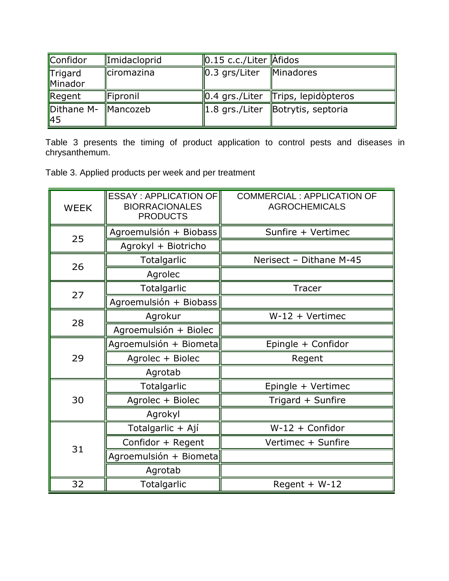| Confidor                          | Imidacloprid    | $\ 0.15 \text{ c.c.}/$ Liter $\ A\ $ fidos |                                        |
|-----------------------------------|-----------------|--------------------------------------------|----------------------------------------|
| Trigard<br>Minador                | ciromazina      | $\ 0.3\ $ qrs/Liter                        | Minadores                              |
| Regent                            | <b>Fipronil</b> |                                            | 0.4 grs./Liter  Trips, lepidòpteros    |
| Dithane M- Mancozeb<br>$\vert$ 45 |                 |                                            | $\ 1.8\$ grs./Liter Botrytis, septoria |

Table 3 presents the timing of product application to control pests and diseases in chrysanthemum.

Table 3. Applied products per week and per treatment

| <b>WEEK</b> | <b>ESSAY: APPLICATION OF</b><br><b>BIORRACIONALES</b><br><b>PRODUCTS</b> | <b>COMMERCIAL: APPLICATION OF</b><br><b>AGROCHEMICALS</b> |
|-------------|--------------------------------------------------------------------------|-----------------------------------------------------------|
|             | Agroemulsión + Biobass                                                   | Sunfire + Vertimec                                        |
| 25          | Agrokyl + Biotricho                                                      |                                                           |
| 26          | Totalgarlic                                                              | Nerisect - Dithane M-45                                   |
|             | Agrolec                                                                  |                                                           |
|             | Totalgarlic                                                              | <b>Tracer</b>                                             |
| 27          | Agroemulsión + Biobass                                                   |                                                           |
| 28          | Agrokur                                                                  | $W-12 + Vertimec$                                         |
|             | Agroemulsión + Biolec                                                    |                                                           |
|             | Agroemulsión + Biometa                                                   | Epingle + Confidor                                        |
| 29          | Agrolec + Biolec                                                         | Regent                                                    |
|             | Agrotab                                                                  |                                                           |
|             | Totalgarlic                                                              | Epingle + Vertimec                                        |
| 30          | Agrolec + Biolec                                                         | Trigard + Sunfire                                         |
|             | Agrokyl                                                                  |                                                           |
| 31          | Totalgarlic + Ají                                                        | $W-12 +$ Confidor                                         |
|             | Confidor + Regent                                                        | Vertimec + Sunfire                                        |
|             | Agroemulsión + Biometa                                                   |                                                           |
|             | Agrotab                                                                  |                                                           |
| 32          | Totalgarlic                                                              | Regent + W-12                                             |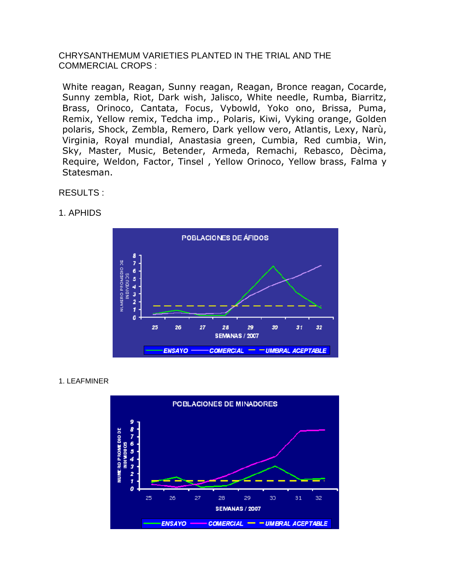CHRYSANTHEMUM VARIETIES PLANTED IN THE TRIAL AND THE COMMERCIAL CROPS :

White reagan, Reagan, Sunny reagan, Reagan, Bronce reagan, Cocarde, Sunny zembla, Riot, Dark wish, Jalisco, White needle, Rumba, Biarritz, Brass, Orinoco, Cantata, Focus, Vybowld, Yoko ono, Brissa, Puma, Remix, Yellow remix, Tedcha imp., Polaris, Kiwi, Vyking orange, Golden polaris, Shock, Zembla, Remero, Dark yellow vero, Atlantis, Lexy, Narù, Virginia, Royal mundial, Anastasia green, Cumbia, Red cumbia, Win, Sky, Master, Music, Betender, Armeda, Remachi, Rebasco, Dècima, Require, Weldon, Factor, Tinsel , Yellow Orinoco, Yellow brass, Falma y Statesman.

RESULTS :



1. APHIDS

## 1. LEAFMINER

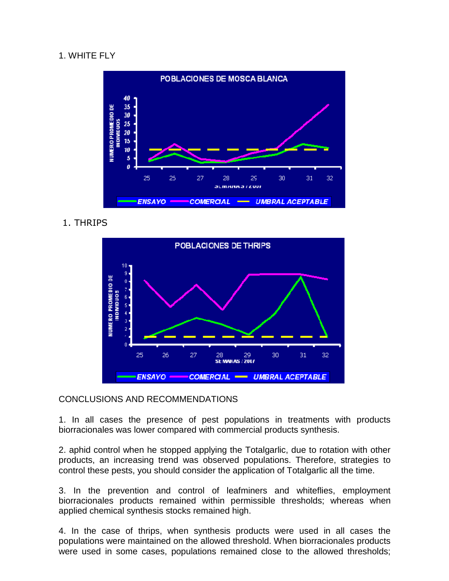## 1. WHITE FLY



1. THRIPS



## CONCLUSIONS AND RECOMMENDATIONS

1. In all cases the presence of pest populations in treatments with products biorracionales was lower compared with commercial products synthesis.

2. aphid control when he stopped applying the Totalgarlic, due to rotation with other products, an increasing trend was observed populations. Therefore, strategies to control these pests, you should consider the application of Totalgarlic all the time.

3. In the prevention and control of leafminers and whiteflies, employment biorracionales products remained within permissible thresholds; whereas when applied chemical synthesis stocks remained high.

4. In the case of thrips, when synthesis products were used in all cases the populations were maintained on the allowed threshold. When biorracionales products were used in some cases, populations remained close to the allowed thresholds;